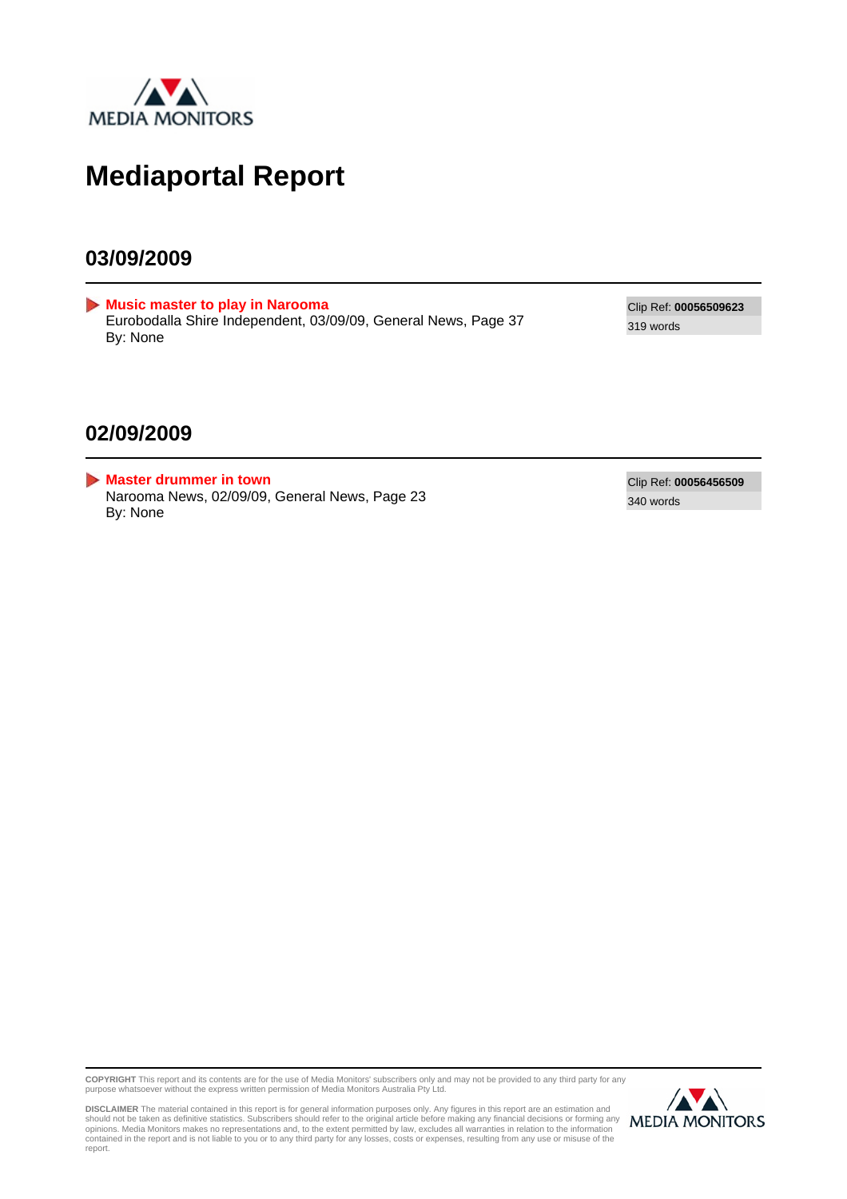

### **Mediaportal Report**

#### **03/09/2009**

<span id="page-0-0"></span>**[Music master to play in Narooma](#page-1-0)** Eurobodalla Shire Independent, 03/09/09, General News, Page 37 By: None

Clip Ref: **00056509623** 319 words

#### **02/09/2009**

<span id="page-0-1"></span>**[Master drummer in town](#page-2-0)** Narooma News, 02/09/09, General News, Page 23 By: None

Clip Ref: **00056456509** 340 words

**COPYRIGHT** This report and its contents are for the use of Media Monitors' subscribers only and may not be provided to any third party for any purpose whatsoever without the express written permission of Media Monitors Australia Pty Ltd.



DISCLAIMER The material contained in this report is for general information purposes only. Any figures in this report are an estimation and<br>should not be taken as definitive statistics. Subscribers should refer to the orig report.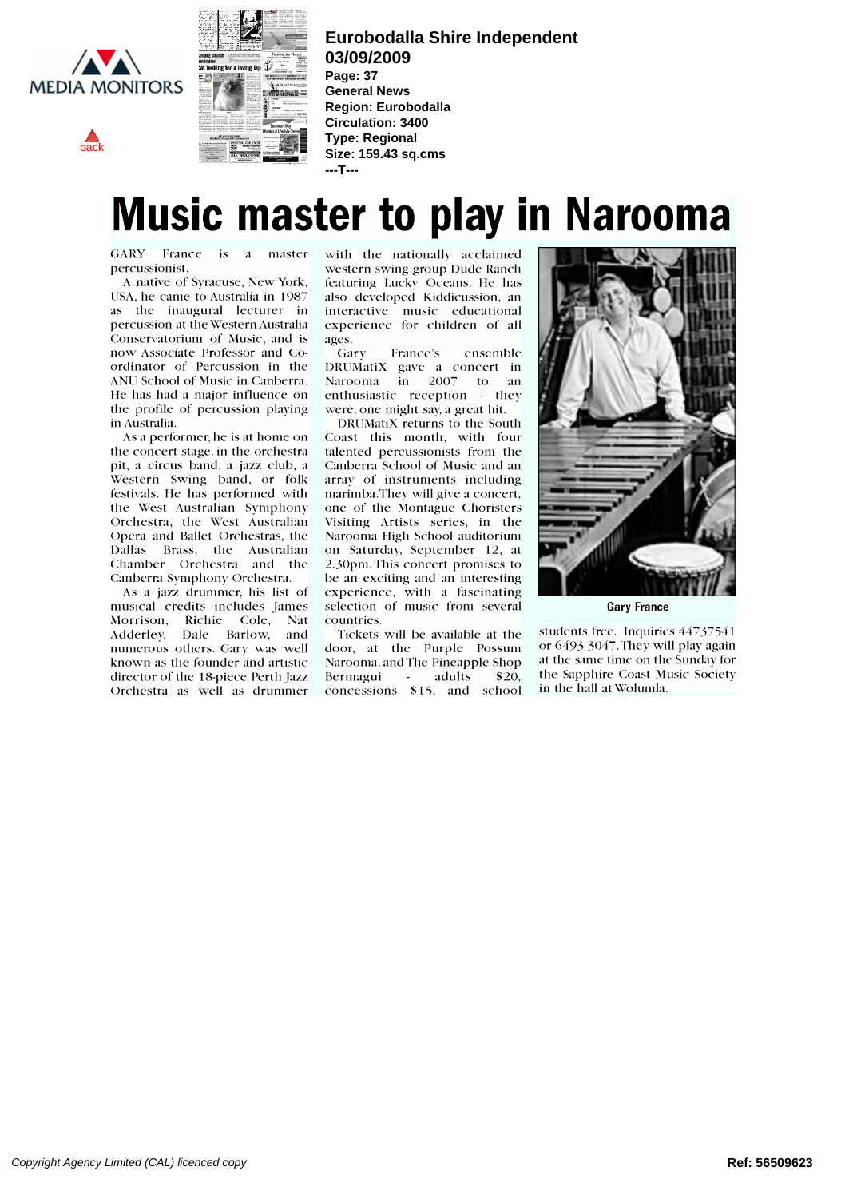<span id="page-1-0"></span>

[back](#page-0-0)



**Eurobodalla Shire Independent 03/09/2009 Page: 37**

**General News Region: Eurobodalla Circulation: 3400 Type: Regional Size: 159.43 sq.cms ---T---**

## Music master to play in Narooma

GARY France is a master percussionist.

A native of Syracuse, New York, USA, he came to Australia in 1987 as the inaugural lecturer in percussion at the Western Australia Conservatorium of Music, and is ages.<br>now Associate Professor and Co- Gary now Associate Professor and Coordinator of Percussion in the ANU School of Music in Canberra. He has had a major influence on the profile of percussion playing in Australia.

As a performer, he is at home on the concert stage, in the orchestra pit, a circus band, a jazz club, a Western Swing band, or folk festivals. He has performed with Orchestra, the West Australian Opera and Ballet Orchestras, the Dallas Brass, the Australian Chamber Orchestra and the Canberra Symphony Orchestra.

musical credits includes James Morrison, Richie Cole, Nat Adderley, Dale Barlow, and numerous others. Gary was well known as the founder and artistic director of the 18-piece Perth jazz Orchestra as well as drummer with the nationally acclaimed western swing group Dude Ranch featuring Lucky Oceans. He has also developed Kiddicussion, an interactive music educational  $\|\cdot\|$ experience for children of all ages.

France's ensemble DRUMatiX gave a concert in Narooma in 2007 to an enthusiastic reception - they were, one might say, a great hit.

DRUMatiX returns to the South Coast this month, with four talented percussionists from the Canberra School of Music and an array of instruments including marimba.They will give a concert, one of the Montague Choristers Visiting Artists series, in the Narooma High School auditorium on Saturday, September 12, at 2.30pm. This concert promises to be an exciting and an interesting experience, with a fascinating selection of music from several countries.

Tickets will be available at the door, at the Purple Possum Narooma, and The Pineapple Shop Bermagui - adults \$20, concessions \$15, and school



Gary France

students free. Inquiries 44737541 or 6493 3047.They will play again at the same time on the Sunday for the Sapphire Coast Music Society in the hall at Wolunda.